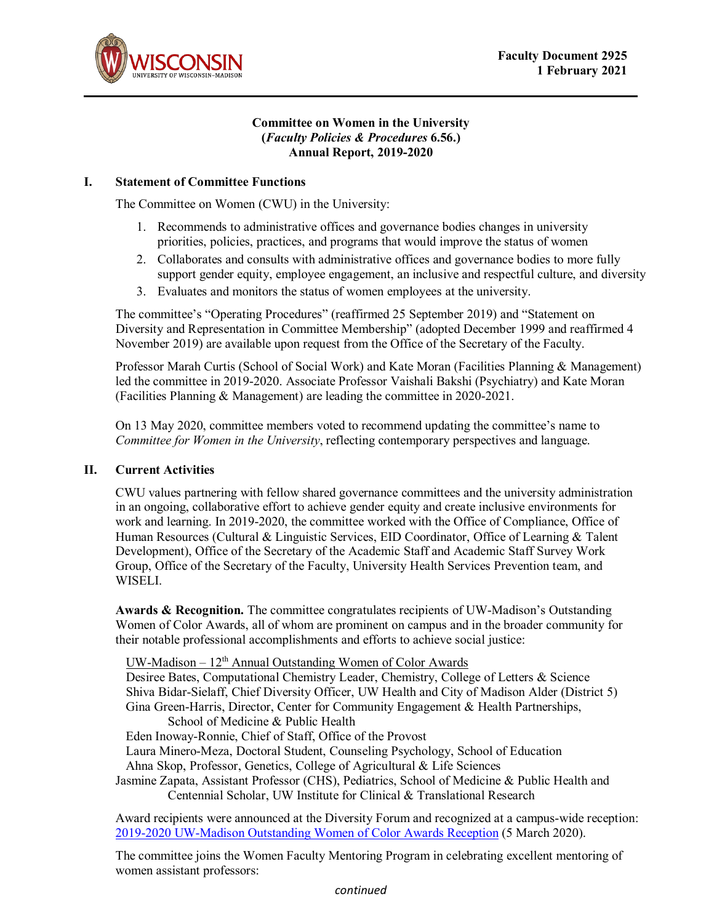



#### **Committee on Women in the University (***Faculty Policies & Procedures* **6.56.) Annual Report, 2019-2020**

### **I. Statement of Committee Functions**

The Committee on Women (CWU) in the University:

- 1. Recommends to administrative offices and governance bodies changes in university priorities, policies, practices, and programs that would improve the status of women
- 2. Collaborates and consults with administrative offices and governance bodies to more fully support gender equity, employee engagement, an inclusive and respectful culture, and diversity
- 3. Evaluates and monitors the status of women employees at the university.

The committee's "Operating Procedures" (reaffirmed 25 September 2019) and "Statement on Diversity and Representation in Committee Membership" (adopted December 1999 and reaffirmed 4 November 2019) are available upon request from the Office of the Secretary of the Faculty.

Professor Marah Curtis (School of Social Work) and Kate Moran (Facilities Planning & Management) led the committee in 2019-2020. Associate Professor Vaishali Bakshi (Psychiatry) and Kate Moran (Facilities Planning & Management) are leading the committee in 2020-2021.

On 13 May 2020, committee members voted to recommend updating the committee's name to *Committee for Women in the University*, reflecting contemporary perspectives and language.

### **II. Current Activities**

CWU values partnering with fellow shared governance committees and the university administration in an ongoing, collaborative effort to achieve gender equity and create inclusive environments for work and learning. In 2019-2020, the committee worked with the Office of Compliance, Office of Human Resources (Cultural & Linguistic Services, EID Coordinator, Office of Learning & Talent Development), Office of the Secretary of the Academic Staff and Academic Staff Survey Work Group, Office of the Secretary of the Faculty, University Health Services Prevention team, and WISELI.

**Awards & Recognition.** The committee congratulates recipients of UW-Madison's Outstanding Women of Color Awards, all of whom are prominent on campus and in the broader community for their notable professional accomplishments and efforts to achieve social justice:

UW-Madison  $-12<sup>th</sup>$  Annual Outstanding Women of Color Awards

Desiree Bates, Computational Chemistry Leader, Chemistry, College of Letters & Science Shiva Bidar-Sielaff, Chief Diversity Officer, UW Health and City of Madison Alder (District 5) Gina Green-Harris, Director, Center for Community Engagement & Health Partnerships, School of Medicine & Public Health

Eden Inoway-Ronnie, Chief of Staff, Office of the Provost

Laura Minero-Meza, Doctoral Student, Counseling Psychology, School of Education

Ahna Skop, Professor, Genetics, College of Agricultural & Life Sciences

Jasmine Zapata, Assistant Professor (CHS), Pediatrics, School of Medicine & Public Health and Centennial Scholar, UW Institute for Clinical & Translational Research

Award recipients were announced at the Diversity Forum and recognized at a campus-wide reception: [2019-2020 UW-Madison Outstanding Women of](https://diversity.wisc.edu/event/uw-madison-outstanding-women-of-color-awards-reception-2020/) Color Awards Reception (5 March 2020).

The committee joins the Women Faculty Mentoring Program in celebrating excellent mentoring of women assistant professors: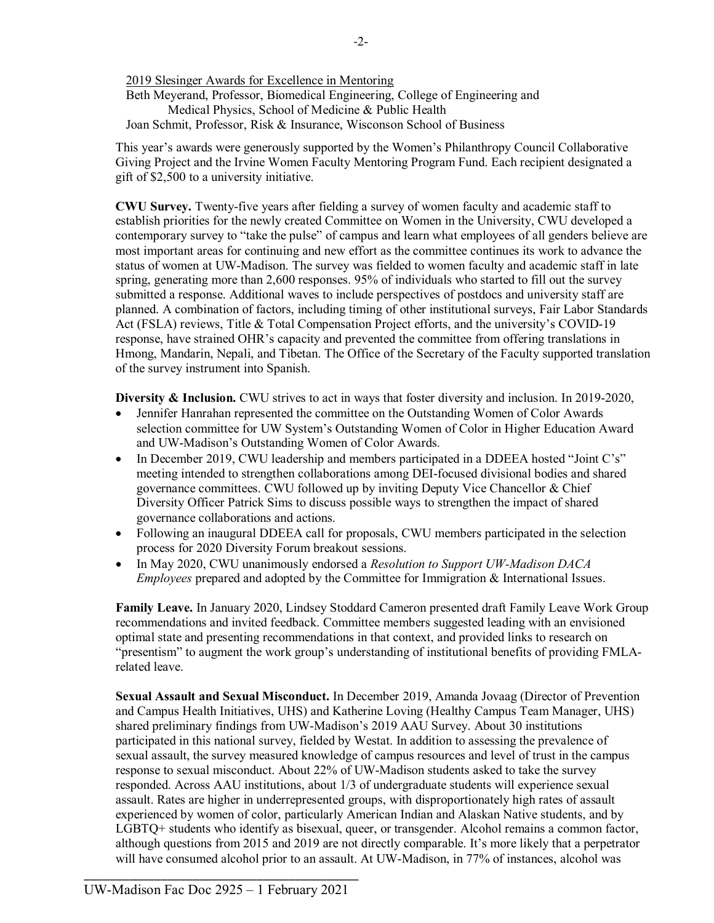2019 Slesinger Awards for Excellence in Mentoring Beth Meyerand, Professor, Biomedical Engineering, College of Engineering and Medical Physics, School of Medicine & Public Health Joan Schmit, Professor, Risk & Insurance, Wisconson School of Business

This year's awards were generously supported by the Women's Philanthropy Council Collaborative Giving Project and the Irvine Women Faculty Mentoring Program Fund. Each recipient designated a gift of \$2,500 to a university initiative.

**CWU Survey.** Twenty-five years after fielding a survey of women faculty and academic staff to establish priorities for the newly created Committee on Women in the University, CWU developed a contemporary survey to "take the pulse" of campus and learn what employees of all genders believe are most important areas for continuing and new effort as the committee continues its work to advance the status of women at UW-Madison. The survey was fielded to women faculty and academic staff in late spring, generating more than 2,600 responses. 95% of individuals who started to fill out the survey submitted a response. Additional waves to include perspectives of postdocs and university staff are planned. A combination of factors, including timing of other institutional surveys, Fair Labor Standards Act (FSLA) reviews, Title & Total Compensation Project efforts, and the university's COVID-19 response, have strained OHR's capacity and prevented the committee from offering translations in Hmong, Mandarin, Nepali, and Tibetan. The Office of the Secretary of the Faculty supported translation of the survey instrument into Spanish.

**Diversity & Inclusion.** CWU strives to act in ways that foster diversity and inclusion. In 2019-2020,

- Jennifer Hanrahan represented the committee on the Outstanding Women of Color Awards selection committee for UW System's Outstanding Women of Color in Higher Education Award and UW-Madison's Outstanding Women of Color Awards.
- In December 2019, CWU leadership and members participated in a DDEEA hosted "Joint C's" meeting intended to strengthen collaborations among DEI-focused divisional bodies and shared governance committees. CWU followed up by inviting Deputy Vice Chancellor & Chief Diversity Officer Patrick Sims to discuss possible ways to strengthen the impact of shared governance collaborations and actions.
- Following an inaugural DDEEA call for proposals, CWU members participated in the selection process for 2020 Diversity Forum breakout sessions.
- In May 2020, CWU unanimously endorsed a *Resolution to Support UW-Madison DACA Employees* prepared and adopted by the Committee for Immigration & International Issues.

**Family Leave.** In January 2020, Lindsey Stoddard Cameron presented draft Family Leave Work Group recommendations and invited feedback. Committee members suggested leading with an envisioned optimal state and presenting recommendations in that context, and provided links to research on "presentism" to augment the work group's understanding of institutional benefits of providing FMLArelated leave.

**Sexual Assault and Sexual Misconduct.** In December 2019, Amanda Jovaag (Director of Prevention and Campus Health Initiatives, UHS) and Katherine Loving (Healthy Campus Team Manager, UHS) shared preliminary findings from UW-Madison's 2019 AAU Survey. About 30 institutions participated in this national survey, fielded by Westat. In addition to assessing the prevalence of sexual assault, the survey measured knowledge of campus resources and level of trust in the campus response to sexual misconduct. About 22% of UW-Madison students asked to take the survey responded. Across AAU institutions, about 1/3 of undergraduate students will experience sexual assault. Rates are higher in underrepresented groups, with disproportionately high rates of assault experienced by women of color, particularly American Indian and Alaskan Native students, and by LGBTQ+ students who identify as bisexual, queer, or transgender. Alcohol remains a common factor, although questions from 2015 and 2019 are not directly comparable. It's more likely that a perpetrator will have consumed alcohol prior to an assault. At UW-Madison, in 77% of instances, alcohol was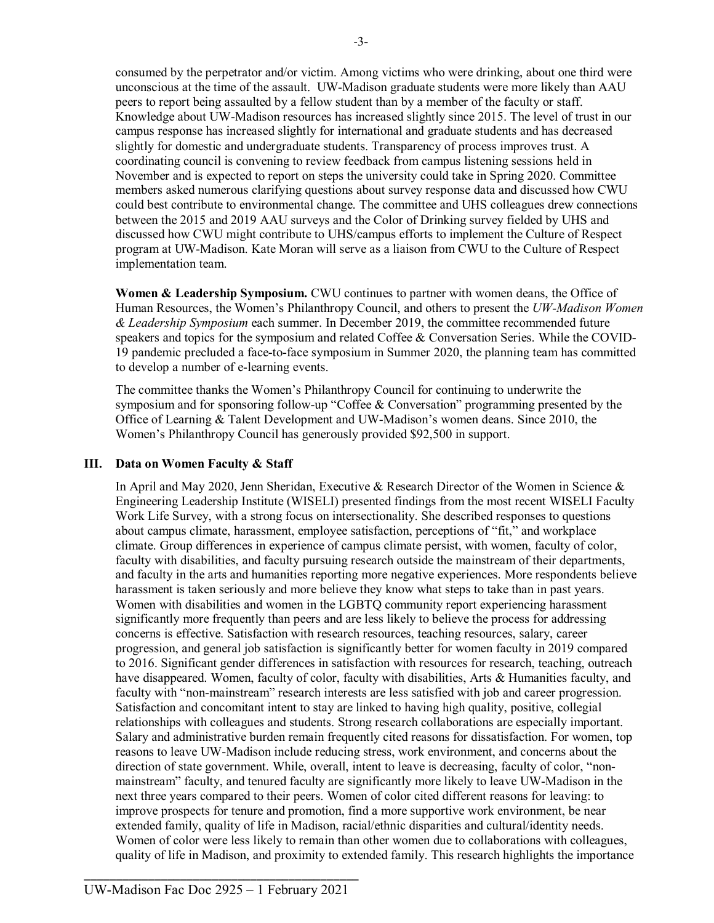consumed by the perpetrator and/or victim. Among victims who were drinking, about one third were unconscious at the time of the assault. UW-Madison graduate students were more likely than AAU peers to report being assaulted by a fellow student than by a member of the faculty or staff. Knowledge about UW-Madison resources has increased slightly since 2015. The level of trust in our campus response has increased slightly for international and graduate students and has decreased slightly for domestic and undergraduate students. Transparency of process improves trust. A coordinating council is convening to review feedback from campus listening sessions held in November and is expected to report on steps the university could take in Spring 2020. Committee members asked numerous clarifying questions about survey response data and discussed how CWU could best contribute to environmental change. The committee and UHS colleagues drew connections between the 2015 and 2019 AAU surveys and the Color of Drinking survey fielded by UHS and discussed how CWU might contribute to UHS/campus efforts to implement the Culture of Respect program at UW-Madison. Kate Moran will serve as a liaison from CWU to the Culture of Respect implementation team.

**Women & Leadership Symposium.** CWU continues to partner with women deans, the Office of Human Resources, the Women's Philanthropy Council, and others to present the *UW-Madison Women & Leadership Symposium* each summer. In December 2019, the committee recommended future speakers and topics for the symposium and related Coffee & Conversation Series. While the COVID-19 pandemic precluded a face-to-face symposium in Summer 2020, the planning team has committed to develop a number of e-learning events.

The committee thanks the Women's Philanthropy Council for continuing to underwrite the symposium and for sponsoring follow-up "Coffee & Conversation" programming presented by the Office of Learning & Talent Development and UW-Madison's women deans. Since 2010, the Women's Philanthropy Council has generously provided \$92,500 in support.

### **III. Data on Women Faculty & Staff**

In April and May 2020, Jenn Sheridan, Executive & Research Director of the Women in Science & Engineering Leadership Institute (WISELI) presented findings from the most recent WISELI Faculty Work Life Survey, with a strong focus on intersectionality. She described responses to questions about campus climate, harassment, employee satisfaction, perceptions of "fit," and workplace climate. Group differences in experience of campus climate persist, with women, faculty of color, faculty with disabilities, and faculty pursuing research outside the mainstream of their departments, and faculty in the arts and humanities reporting more negative experiences. More respondents believe harassment is taken seriously and more believe they know what steps to take than in past years. Women with disabilities and women in the LGBTQ community report experiencing harassment significantly more frequently than peers and are less likely to believe the process for addressing concerns is effective. Satisfaction with research resources, teaching resources, salary, career progression, and general job satisfaction is significantly better for women faculty in 2019 compared to 2016. Significant gender differences in satisfaction with resources for research, teaching, outreach have disappeared. Women, faculty of color, faculty with disabilities, Arts & Humanities faculty, and faculty with "non-mainstream" research interests are less satisfied with job and career progression. Satisfaction and concomitant intent to stay are linked to having high quality, positive, collegial relationships with colleagues and students. Strong research collaborations are especially important. Salary and administrative burden remain frequently cited reasons for dissatisfaction. For women, top reasons to leave UW-Madison include reducing stress, work environment, and concerns about the direction of state government. While, overall, intent to leave is decreasing, faculty of color, "nonmainstream" faculty, and tenured faculty are significantly more likely to leave UW-Madison in the next three years compared to their peers. Women of color cited different reasons for leaving: to improve prospects for tenure and promotion, find a more supportive work environment, be near extended family, quality of life in Madison, racial/ethnic disparities and cultural/identity needs. Women of color were less likely to remain than other women due to collaborations with colleagues, quality of life in Madison, and proximity to extended family. This research highlights the importance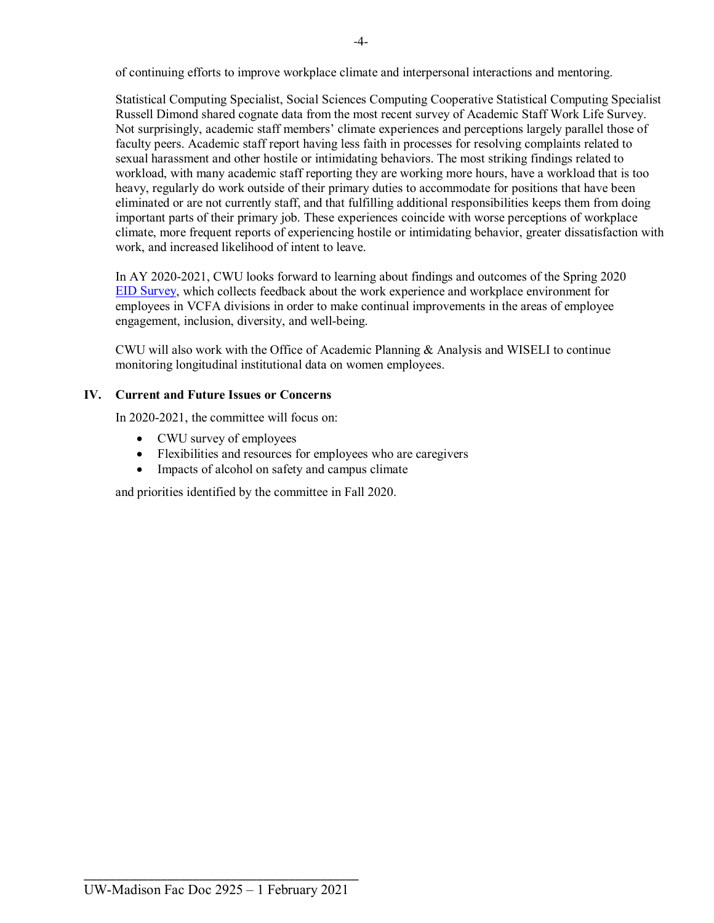of continuing efforts to improve workplace climate and interpersonal interactions and mentoring.

Statistical Computing Specialist, Social Sciences Computing Cooperative Statistical Computing Specialist Russell Dimond shared cognate data from the most recent survey of Academic Staff Work Life Survey. Not surprisingly, academic staff members' climate experiences and perceptions largely parallel those of faculty peers. Academic staff report having less faith in processes for resolving complaints related to sexual harassment and other hostile or intimidating behaviors. The most striking findings related to workload, with many academic staff reporting they are working more hours, have a workload that is too heavy, regularly do work outside of their primary duties to accommodate for positions that have been eliminated or are not currently staff, and that fulfilling additional responsibilities keeps them from doing important parts of their primary job. These experiences coincide with worse perceptions of workplace climate, more frequent reports of experiencing hostile or intimidating behavior, greater dissatisfaction with work, and increased likelihood of intent to leave.

In AY 2020-2021, CWU looks forward to learning about findings and outcomes of the Spring 2020 [EID Survey,](https://hr.wisc.edu/eid/survey/) which collects feedback about the work experience and workplace environment for employees in VCFA divisions in order to make continual improvements in the areas of employee engagement, inclusion, diversity, and well-being.

CWU will also work with the Office of Academic Planning & Analysis and WISELI to continue monitoring longitudinal institutional data on women employees.

# **IV. Current and Future Issues or Concerns**

In 2020-2021, the committee will focus on:

- CWU survey of employees
- Flexibilities and resources for employees who are caregivers
- Impacts of alcohol on safety and campus climate

and priorities identified by the committee in Fall 2020.